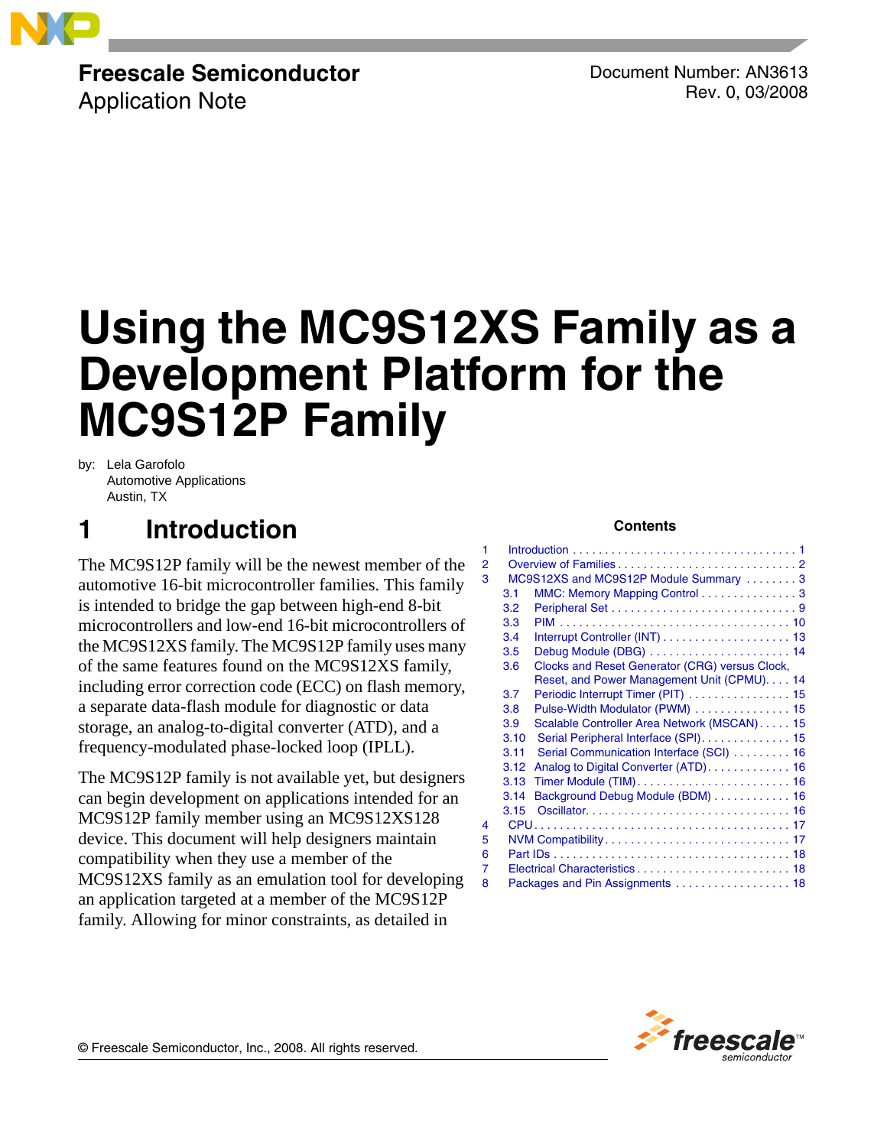

# **Freescale Semiconductor**

Application Note

Document Number: AN3613 Rev. 0, 03/2008

# **Using the MC9S12XS Family as a Development Platform for the MC9S12P Family**

by: Lela Garofolo Automotive Applications Austin, TX

# <span id="page-0-0"></span>**1 Introduction**

The MC9S12P family will be the newest member of the automotive 16-bit microcontroller families. This family is intended to bridge the gap between high-end 8-bit microcontrollers and low-end 16-bit microcontrollers of the MC9S12XS family. The MC9S12P family uses many of the same features found on the MC9S12XS family, including error correction code (ECC) on flash memory, a separate data-flash module for diagnostic or data storage, an analog-to-digital converter (ATD), and a frequency-modulated phase-locked loop (IPLL).

The MC9S12P family is not available yet, but designers can begin development on applications intended for an MC9S12P family member using an MC9S12XS128 device. This document will help designers maintain compatibility when they use a member of the MC9S12XS family as an emulation tool for developing an application targeted at a member of the MC9S12P family. Allowing for minor constraints, as detailed in

#### **Contents**

| 1                                          |      |                                                |  |  |  |  |
|--------------------------------------------|------|------------------------------------------------|--|--|--|--|
| 2                                          |      |                                                |  |  |  |  |
| MC9S12XS and MC9S12P Module Summary 3<br>3 |      |                                                |  |  |  |  |
|                                            | 3.1  | MMC: Memory Mapping Control 3                  |  |  |  |  |
|                                            | 3.2  |                                                |  |  |  |  |
|                                            | 3.3  |                                                |  |  |  |  |
|                                            | 3.4  |                                                |  |  |  |  |
|                                            | 3.5  | Debug Module (DBG)  14                         |  |  |  |  |
|                                            | 3.6  | Clocks and Reset Generator (CRG) versus Clock, |  |  |  |  |
|                                            |      | Reset, and Power Management Unit (CPMU). 14    |  |  |  |  |
|                                            | 3.7  | Periodic Interrupt Timer (PIT)  15             |  |  |  |  |
|                                            | 3.8  | Pulse-Width Modulator (PWM)  15                |  |  |  |  |
|                                            | 3.9  | Scalable Controller Area Network (MSCAN) 15    |  |  |  |  |
|                                            | 3.10 | Serial Peripheral Interface (SPI). 15          |  |  |  |  |
|                                            | 3.11 | Serial Communication Interface (SCI)  16       |  |  |  |  |
|                                            | 3.12 |                                                |  |  |  |  |
|                                            | 3.13 |                                                |  |  |  |  |
|                                            | 3.14 | Background Debug Module (BDM) 16               |  |  |  |  |
|                                            | 3.15 |                                                |  |  |  |  |
| 4                                          |      |                                                |  |  |  |  |
| 5                                          |      |                                                |  |  |  |  |
| 6                                          |      |                                                |  |  |  |  |
| 7                                          |      |                                                |  |  |  |  |
| 8                                          |      | Packages and Pin Assignments 18                |  |  |  |  |



© Freescale Semiconductor, Inc., 2008. All rights reserved.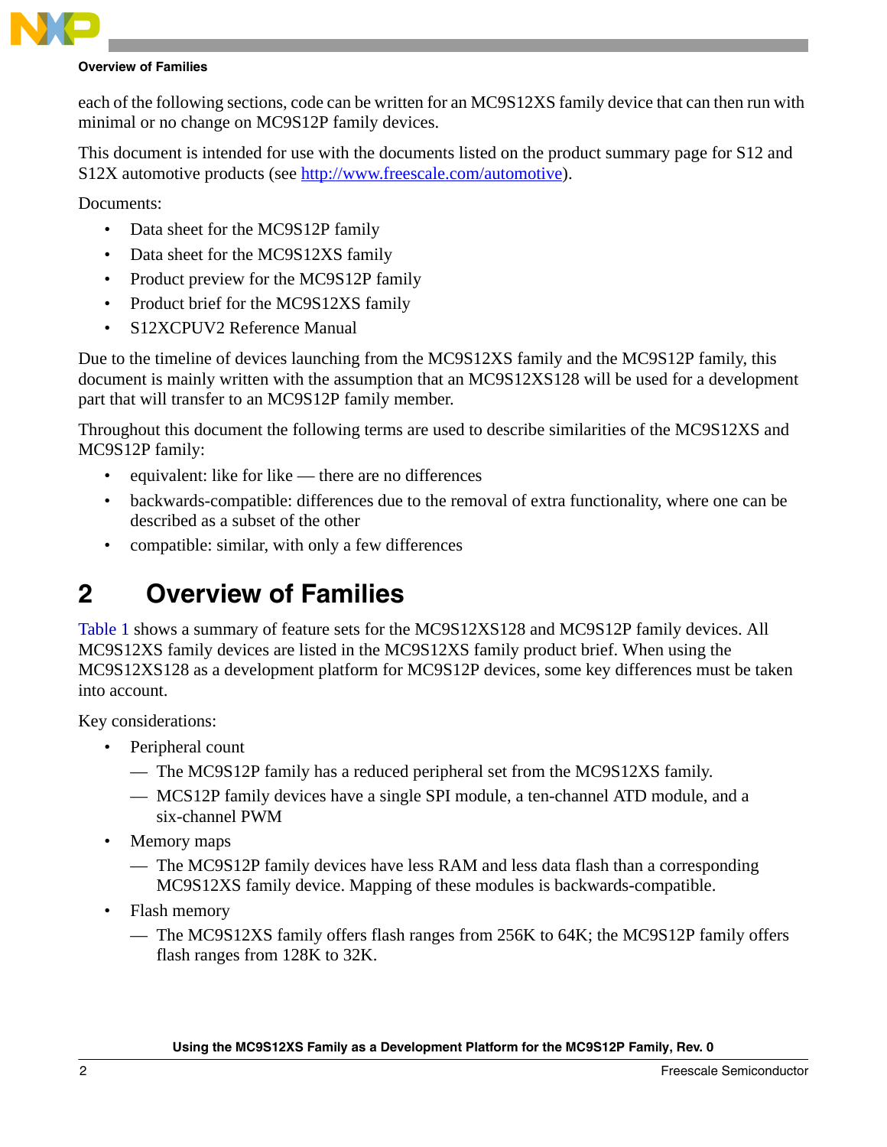

#### **Overview of Families**

each of the following sections, code can be written for an MC9S12XS family device that can then run with minimal or no change on MC9S12P family devices.

This document is intended for use with the documents listed on the product summary page for S12 and S12X automotive products (see <http://www.freescale.com/automotive>).

Documents:

- Data sheet for the MC9S12P family
- Data sheet for the MC9S12XS family
- Product preview for the MC9S12P family
- Product brief for the MC9S12XS family
- S12XCPUV2 Reference Manual

Due to the timeline of devices launching from the MC9S12XS family and the MC9S12P family, this document is mainly written with the assumption that an MC9S12XS128 will be used for a development part that will transfer to an MC9S12P family member.

Throughout this document the following terms are used to describe similarities of the MC9S12XS and MC9S12P family:

- equivalent: like for like there are no differences
- backwards-compatible: differences due to the removal of extra functionality, where one can be described as a subset of the other
- compatible: similar, with only a few differences

# <span id="page-1-0"></span>**2 Overview of Families**

[Table 1](#page-2-2) shows a summary of feature sets for the MC9S12XS128 and MC9S12P family devices. All MC9S12XS family devices are listed in the MC9S12XS family product brief. When using the MC9S12XS128 as a development platform for MC9S12P devices, some key differences must be taken into account.

Key considerations:

- Peripheral count
	- The MC9S12P family has a reduced peripheral set from the MC9S12XS family.
	- MCS12P family devices have a single SPI module, a ten-channel ATD module, and a six-channel PWM
- Memory maps
	- The MC9S12P family devices have less RAM and less data flash than a corresponding MC9S12XS family device. Mapping of these modules is backwards-compatible.
- Flash memory
	- The MC9S12XS family offers flash ranges from 256K to 64K; the MC9S12P family offers flash ranges from 128K to 32K.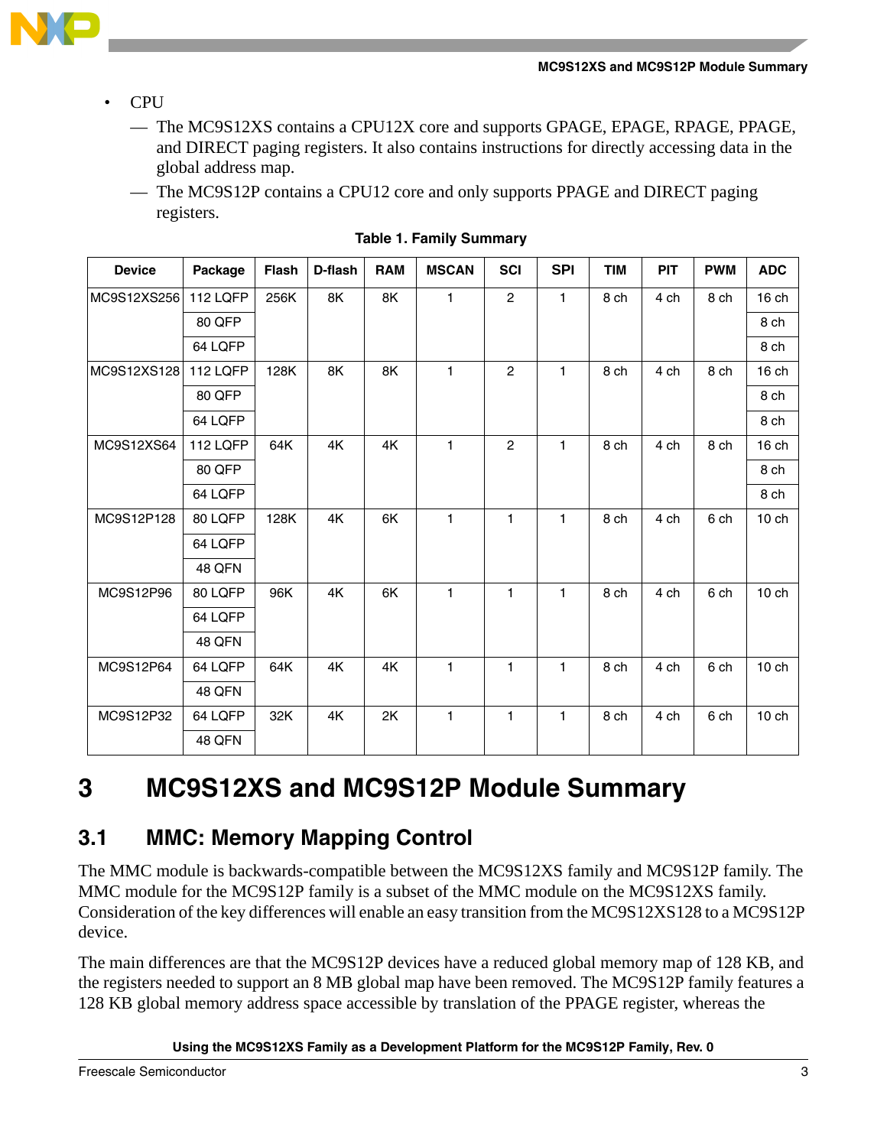

- CPU
	- The MC9S12XS contains a CPU12X core and supports GPAGE, EPAGE, RPAGE, PPAGE, and DIRECT paging registers. It also contains instructions for directly accessing data in the global address map.
	- The MC9S12P contains a CPU12 core and only supports PPAGE and DIRECT paging registers.

<span id="page-2-2"></span>

| <b>Device</b> | Package       | Flash | D-flash | <b>RAM</b> | <b>MSCAN</b> | <b>SCI</b>     | <b>SPI</b> | <b>TIM</b> | <b>PIT</b> | <b>PWM</b> | <b>ADC</b>       |
|---------------|---------------|-------|---------|------------|--------------|----------------|------------|------------|------------|------------|------------------|
| MC9S12XS256   | 112 LQFP      | 256K  | 8K      | 8K         | 1            | $\overline{c}$ | 1          | 8 ch       | 4 ch       | 8 ch       | 16 ch            |
|               | 80 QFP        |       |         |            |              |                |            |            |            |            | 8 ch             |
|               | 64 LQFP       |       |         |            |              |                |            |            |            |            | 8 ch             |
| MC9S12XS128   | 112 LQFP      | 128K  | 8K      | 8K         | 1            | $\overline{2}$ | 1          | 8 ch       | 4 ch       | 8 ch       | 16 ch            |
|               | 80 QFP        |       |         |            |              |                |            |            |            |            | 8 ch             |
|               | 64 LQFP       |       |         |            |              |                |            |            |            |            | 8 ch             |
| MC9S12XS64    | 112 LQFP      | 64K   | 4K      | 4K         | 1            | $\mathbf{2}$   | 1          | 8 ch       | 4 ch       | 8 ch       | 16 ch            |
|               | 80 QFP        |       |         |            |              |                |            |            |            |            | 8 ch             |
|               | 64 LQFP       |       |         |            |              |                |            |            |            |            | 8 ch             |
| MC9S12P128    | 80 LQFP       | 128K  | 4K      | 6K         | 1            | 1              | 1          | 8 ch       | 4 ch       | 6 ch       | 10 <sub>ch</sub> |
|               | 64 LQFP       |       |         |            |              |                |            |            |            |            |                  |
|               | <b>48 QFN</b> |       |         |            |              |                |            |            |            |            |                  |
| MC9S12P96     | 80 LQFP       | 96K   | 4K      | 6K         | $\mathbf{1}$ | 1              | 1          | 8 ch       | 4 ch       | 6 ch       | $10$ ch          |
|               | 64 LQFP       |       |         |            |              |                |            |            |            |            |                  |
|               | 48 QFN        |       |         |            |              |                |            |            |            |            |                  |
| MC9S12P64     | 64 LQFP       | 64K   | 4K      | 4K         | 1            | $\mathbf{1}$   | 1          | 8 ch       | 4 ch       | 6 ch       | $10$ ch          |
|               | 48 QFN        |       |         |            |              |                |            |            |            |            |                  |
| MC9S12P32     | 64 LQFP       | 32K   | 4K      | 2K         | $\mathbf{1}$ | 1              | 1          | 8 ch       | 4 ch       | 6 ch       | $10$ ch          |
|               | 48 QFN        |       |         |            |              |                |            |            |            |            |                  |

|  | <b>Table 1. Family Summary</b> |  |
|--|--------------------------------|--|
|  |                                |  |

### <span id="page-2-1"></span><span id="page-2-0"></span>**3.1 MMC: Memory Mapping Control**

The MMC module is backwards-compatible between the MC9S12XS family and MC9S12P family. The MMC module for the MC9S12P family is a subset of the MMC module on the MC9S12XS family. Consideration of the key differences will enable an easy transition from the MC9S12XS128 to a MC9S12P device.

The main differences are that the MC9S12P devices have a reduced global memory map of 128 KB, and the registers needed to support an 8 MB global map have been removed. The MC9S12P family features a 128 KB global memory address space accessible by translation of the PPAGE register, whereas the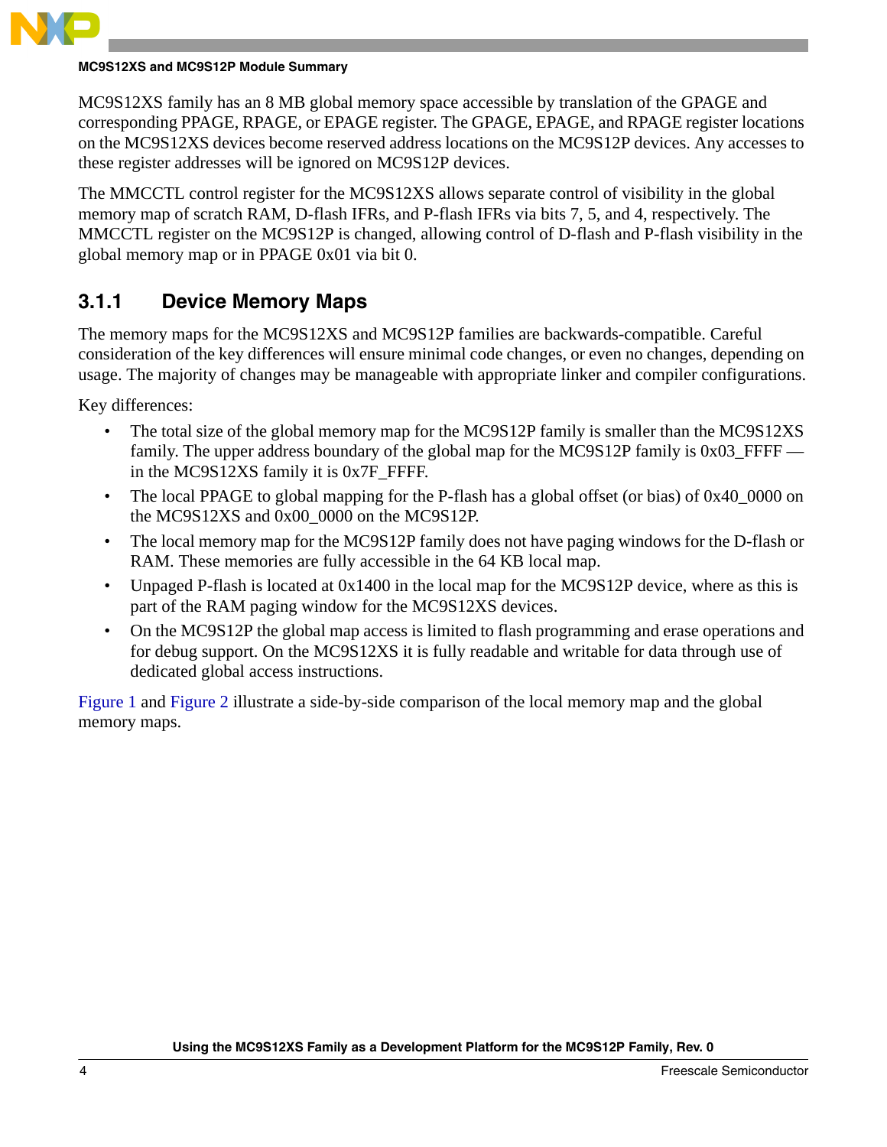

MC9S12XS family has an 8 MB global memory space accessible by translation of the GPAGE and corresponding PPAGE, RPAGE, or EPAGE register. The GPAGE, EPAGE, and RPAGE register locations on the MC9S12XS devices become reserved address locations on the MC9S12P devices. Any accesses to these register addresses will be ignored on MC9S12P devices.

The MMCCTL control register for the MC9S12XS allows separate control of visibility in the global memory map of scratch RAM, D-flash IFRs, and P-flash IFRs via bits 7, 5, and 4, respectively. The MMCCTL register on the MC9S12P is changed, allowing control of D-flash and P-flash visibility in the global memory map or in PPAGE 0x01 via bit 0.

#### **3.1.1 Device Memory Maps**

The memory maps for the MC9S12XS and MC9S12P families are backwards-compatible. Careful consideration of the key differences will ensure minimal code changes, or even no changes, depending on usage. The majority of changes may be manageable with appropriate linker and compiler configurations.

Key differences:

- The total size of the global memory map for the MC9S12P family is smaller than the MC9S12XS family. The upper address boundary of the global map for the MC9S12P family is 0x03\_FFFF in the MC9S12XS family it is 0x7F\_FFFF.
- The local PPAGE to global mapping for the P-flash has a global offset (or bias) of 0x40\_0000 on the MC9S12XS and 0x00\_0000 on the MC9S12P.
- The local memory map for the MC9S12P family does not have paging windows for the D-flash or RAM. These memories are fully accessible in the 64 KB local map.
- Unpaged P-flash is located at 0x1400 in the local map for the MC9S12P device, where as this is part of the RAM paging window for the MC9S12XS devices.
- On the MC9S12P the global map access is limited to flash programming and erase operations and for debug support. On the MC9S12XS it is fully readable and writable for data through use of dedicated global access instructions.

[Figure 1](#page-4-0) and [Figure 2](#page-5-0) illustrate a side-by-side comparison of the local memory map and the global memory maps.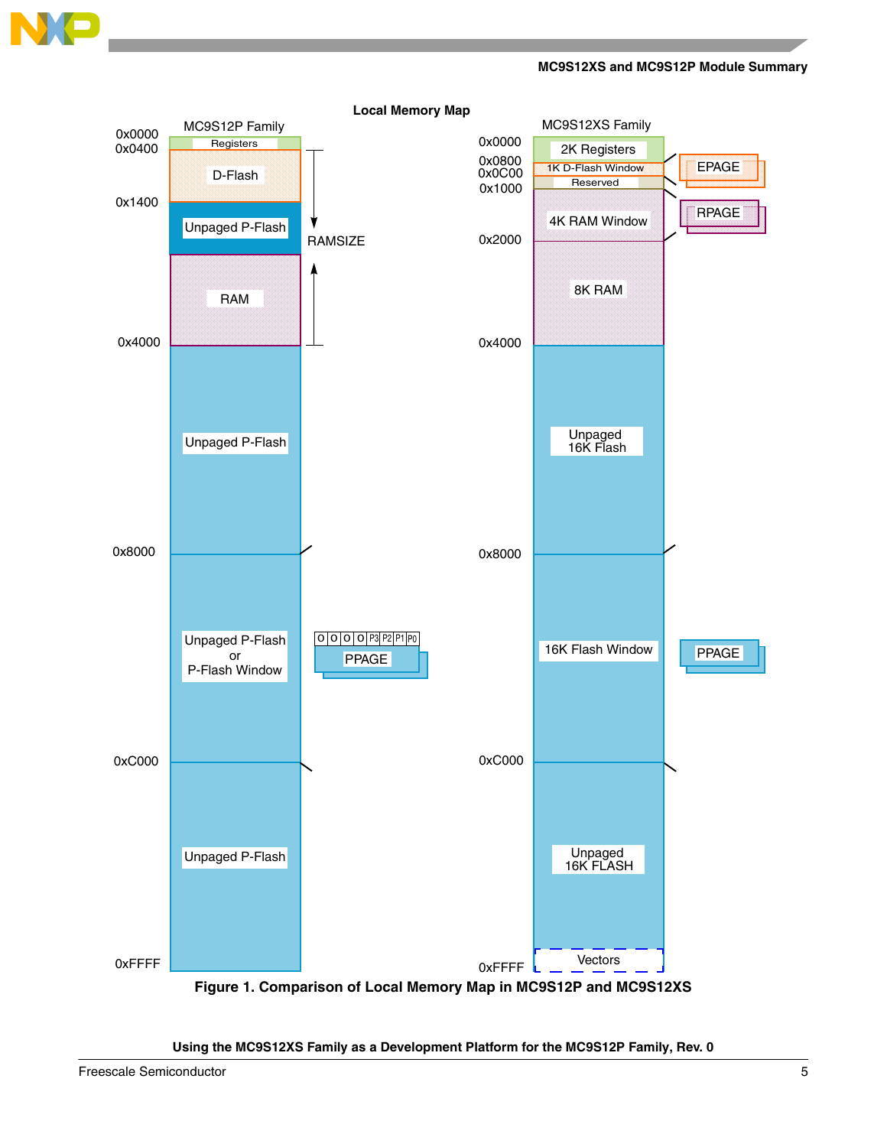

**MC9S12XS and MC9S12P Module Summary**



<span id="page-4-0"></span>**Using the MC9S12XS Family as a Development Platform for the MC9S12P Family, Rev. 0**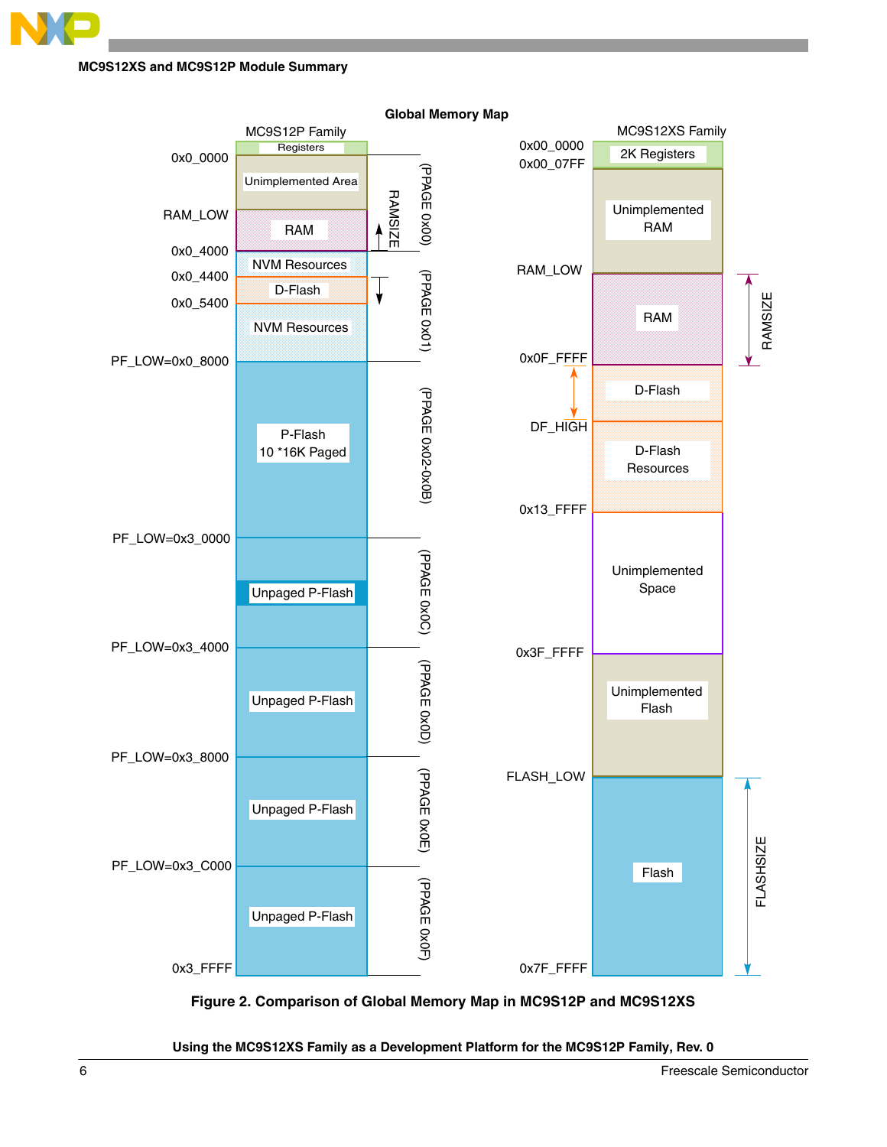

<span id="page-5-0"></span>**Figure 2. Comparison of Global Memory Map in MC9S12P and MC9S12XS**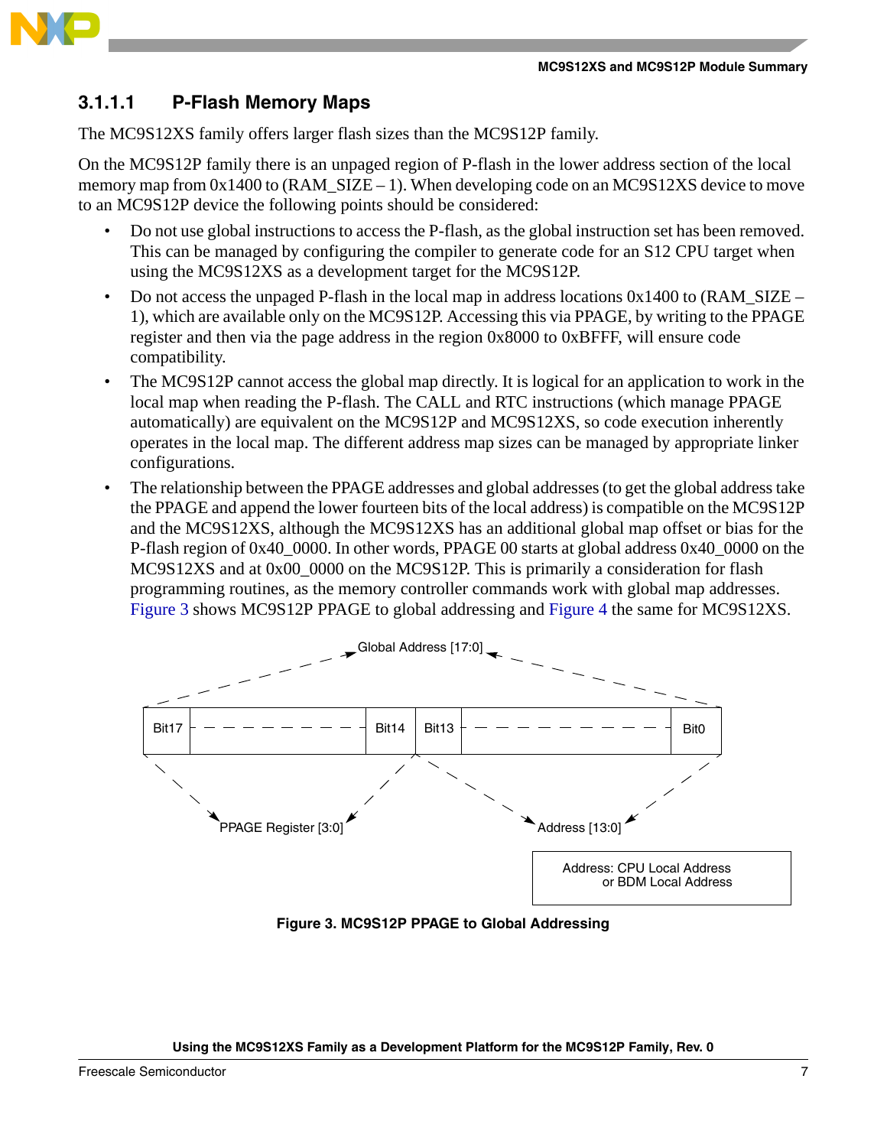

#### **3.1.1.1 P-Flash Memory Maps**

The MC9S12XS family offers larger flash sizes than the MC9S12P family.

On the MC9S12P family there is an unpaged region of P-flash in the lower address section of the local memory map from  $0x1400$  to (RAM  $SIZE - 1$ ). When developing code on an MC9S12XS device to move to an MC9S12P device the following points should be considered:

- Do not use global instructions to access the P-flash, as the global instruction set has been removed. This can be managed by configuring the compiler to generate code for an S12 CPU target when using the MC9S12XS as a development target for the MC9S12P.
- Do not access the unpaged P-flash in the local map in address locations  $0x1400$  to (RAM\_SIZE 1), which are available only on the MC9S12P. Accessing this via PPAGE, by writing to the PPAGE register and then via the page address in the region 0x8000 to 0xBFFF, will ensure code compatibility.
- The MC9S12P cannot access the global map directly. It is logical for an application to work in the local map when reading the P-flash. The CALL and RTC instructions (which manage PPAGE automatically) are equivalent on the MC9S12P and MC9S12XS, so code execution inherently operates in the local map. The different address map sizes can be managed by appropriate linker configurations.
- The relationship between the PPAGE addresses and global addresses (to get the global address take the PPAGE and append the lower fourteen bits of the local address) is compatible on the MC9S12P and the MC9S12XS, although the MC9S12XS has an additional global map offset or bias for the P-flash region of 0x40\_0000. In other words, PPAGE 00 starts at global address 0x40\_0000 on the MC9S12XS and at 0x00\_0000 on the MC9S12P. This is primarily a consideration for flash programming routines, as the memory controller commands work with global map addresses. [Figure 3](#page-6-0) shows MC9S12P PPAGE to global addressing and [Figure 4](#page-7-0) the same for MC9S12XS.



<span id="page-6-0"></span>**Figure 3. MC9S12P PPAGE to Global Addressing**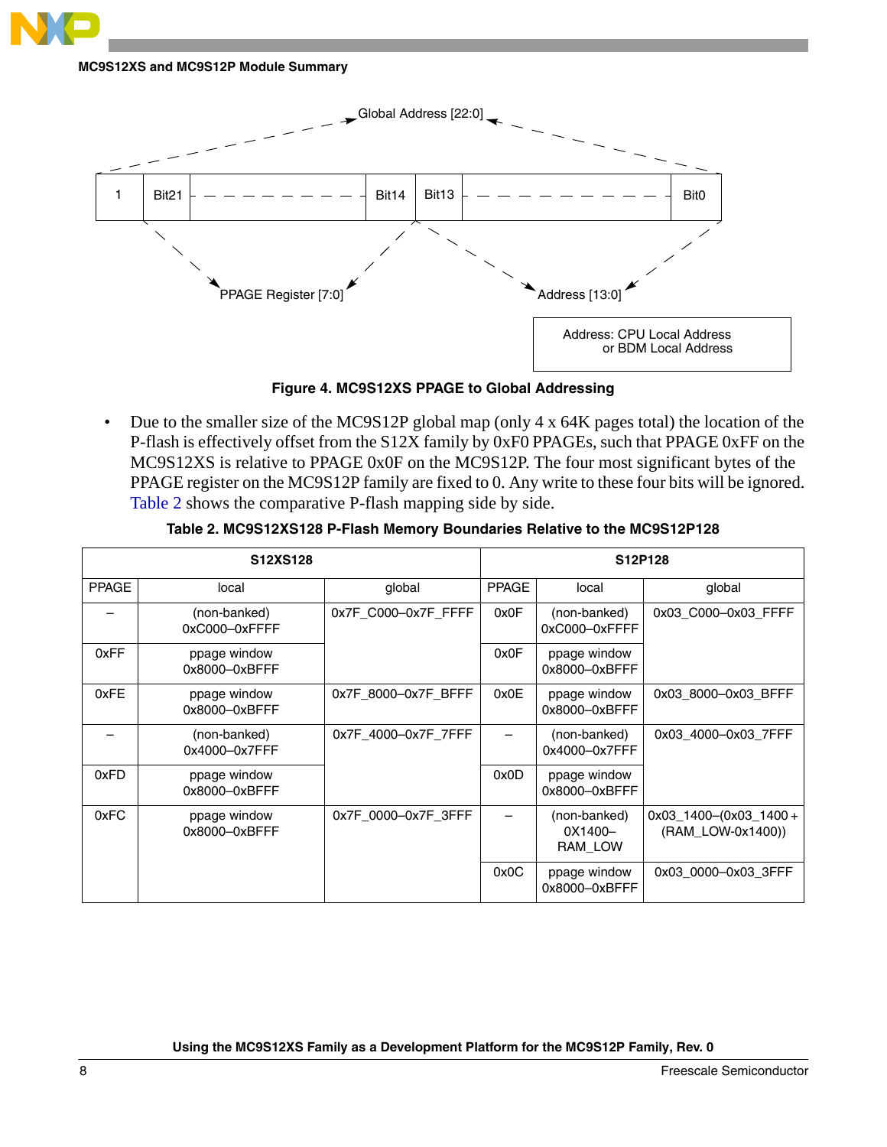

**Figure 4. MC9S12XS PPAGE to Global Addressing**

<span id="page-7-0"></span>• Due to the smaller size of the MC9S12P global map (only 4 x 64K pages total) the location of the P-flash is effectively offset from the S12X family by 0xF0 PPAGEs, such that PPAGE 0xFF on the MC9S12XS is relative to PPAGE 0x0F on the MC9S12P. The four most significant bytes of the PPAGE register on the MC9S12P family are fixed to 0. Any write to these four bits will be ignored. [Table 2](#page-7-1) shows the comparative P-flash mapping side by side.

<span id="page-7-1"></span>

|              | S12XS128                      |                     |              | S12P128                            |                                                   |
|--------------|-------------------------------|---------------------|--------------|------------------------------------|---------------------------------------------------|
| <b>PPAGE</b> | local                         | global              | <b>PPAGE</b> | local                              | global                                            |
|              | (non-banked)<br>0xC000-0xFFFF | 0x7F C000-0x7F FFFF | 0x0F         | (non-banked)<br>0xC000-0xFFFF      | 0x03 C000-0x03 FFFF                               |
| 0xFF         | ppage window<br>0x8000-0xBFFF |                     | 0x0F         | ppage window<br>0x8000-0xBFFF      |                                                   |
| 0xFE         | ppage window<br>0x8000-0xBFFF | 0x7F_8000-0x7F_BFFF | 0x0E         | ppage window<br>0x8000-0xBFFF      | 0x03 8000-0x03 BFFF                               |
|              | (non-banked)<br>0x4000-0x7FFF | 0x7F 4000-0x7F 7FFF |              | (non-banked)<br>0x4000-0x7FFF      | 0x03 4000-0x03 7FFF                               |
| 0xFD         | ppage window<br>0x8000-0xBFFF |                     | 0x0D         | ppage window<br>0x8000-0xBFFF      |                                                   |
| 0xFC         | ppage window<br>0x8000-0xBFFF | 0x7F 0000-0x7F 3FFF |              | (non-banked)<br>0X1400-<br>RAM LOW | $0x03$ _1400- $(0x03$ _1400+<br>(RAM LOW-0x1400)) |
|              |                               |                     | 0x0C         | ppage window<br>0x8000-0xBFFF      | 0x03 0000-0x03 3FFF                               |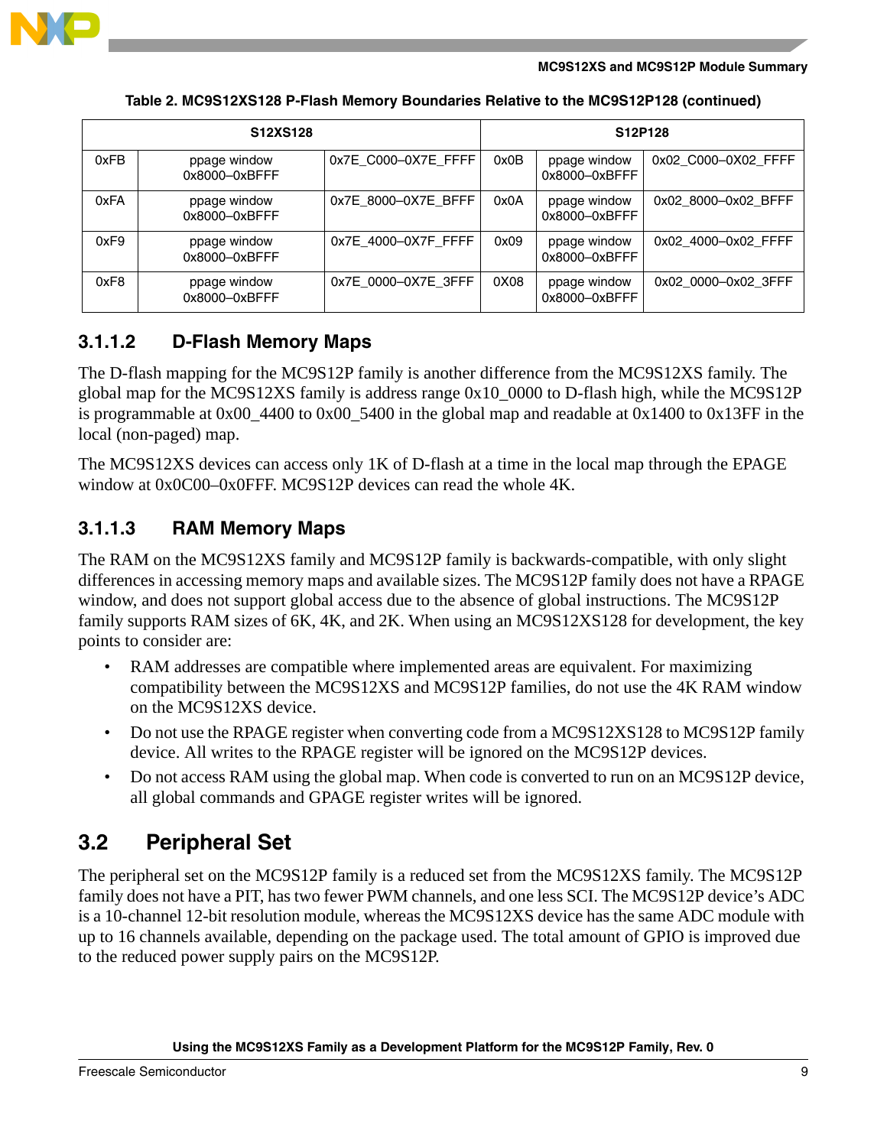

| S12XS128 |                               |                     |      | S12P128                       |                     |
|----------|-------------------------------|---------------------|------|-------------------------------|---------------------|
| 0xFB     | ppage window<br>0x8000-0xBFFF | 0x7E_C000-0X7E_FFFF | 0x0B | ppage window<br>0x8000-0xBFFF | 0x02 C000-0X02 FFFF |
| 0xFA     | ppage window<br>0x8000-0xBFFF | 0x7E 8000-0X7E BFFF | 0x0A | ppage window<br>0x8000-0xBFFF | 0x02 8000-0x02 BFFF |
| 0xF9     | ppage window<br>0x8000-0xBFFF | 0x7E_4000-0X7F_FFFF | 0x09 | ppage window<br>0x8000-0xBFFF | 0x02 4000-0x02 FFFF |
| 0xF8     | ppage window<br>0x8000-0xBFFF | 0x7E 0000-0X7E 3FFF | 0X08 | ppage window<br>0x8000-0xBFFF | 0x02 0000-0x02 3FFF |

**Table 2. MC9S12XS128 P-Flash Memory Boundaries Relative to the MC9S12P128 (continued)**

#### **3.1.1.2 D-Flash Memory Maps**

The D-flash mapping for the MC9S12P family is another difference from the MC9S12XS family. The global map for the MC9S12XS family is address range 0x10\_0000 to D-flash high, while the MC9S12P is programmable at 0x00\_4400 to 0x00\_5400 in the global map and readable at 0x1400 to 0x13FF in the local (non-paged) map.

The MC9S12XS devices can access only 1K of D-flash at a time in the local map through the EPAGE window at 0x0C00–0x0FFF. MC9S12P devices can read the whole 4K.

#### **3.1.1.3 RAM Memory Maps**

The RAM on the MC9S12XS family and MC9S12P family is backwards-compatible, with only slight differences in accessing memory maps and available sizes. The MC9S12P family does not have a RPAGE window, and does not support global access due to the absence of global instructions. The MC9S12P family supports RAM sizes of 6K, 4K, and 2K. When using an MC9S12XS128 for development, the key points to consider are:

- RAM addresses are compatible where implemented areas are equivalent. For maximizing compatibility between the MC9S12XS and MC9S12P families, do not use the 4K RAM window on the MC9S12XS device.
- Do not use the RPAGE register when converting code from a MC9S12XS128 to MC9S12P family device. All writes to the RPAGE register will be ignored on the MC9S12P devices.
- Do not access RAM using the global map. When code is converted to run on an MC9S12P device, all global commands and GPAGE register writes will be ignored.

### <span id="page-8-0"></span>**3.2 Peripheral Set**

The peripheral set on the MC9S12P family is a reduced set from the MC9S12XS family. The MC9S12P family does not have a PIT, has two fewer PWM channels, and one less SCI. The MC9S12P device's ADC is a 10-channel 12-bit resolution module, whereas the MC9S12XS device has the same ADC module with up to 16 channels available, depending on the package used. The total amount of GPIO is improved due to the reduced power supply pairs on the MC9S12P.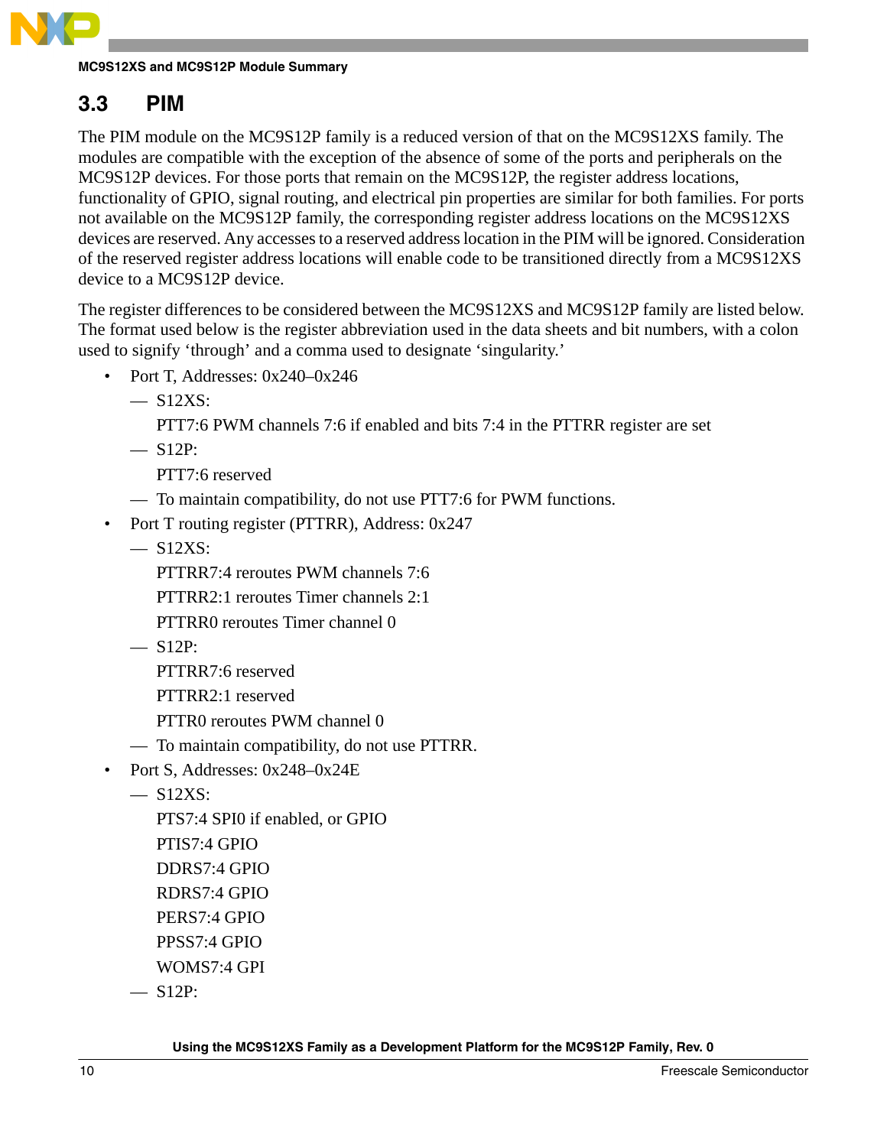

### <span id="page-9-0"></span>**3.3 PIM**

The PIM module on the MC9S12P family is a reduced version of that on the MC9S12XS family. The modules are compatible with the exception of the absence of some of the ports and peripherals on the MC9S12P devices. For those ports that remain on the MC9S12P, the register address locations, functionality of GPIO, signal routing, and electrical pin properties are similar for both families. For ports not available on the MC9S12P family, the corresponding register address locations on the MC9S12XS devices are reserved. Any accesses to a reserved address location in the PIM will be ignored. Consideration of the reserved register address locations will enable code to be transitioned directly from a MC9S12XS device to a MC9S12P device.

The register differences to be considered between the MC9S12XS and MC9S12P family are listed below. The format used below is the register abbreviation used in the data sheets and bit numbers, with a colon used to signify 'through' and a comma used to designate 'singularity.'

- Port T, Addresses: 0x240–0x246
	- $-$  S12XS:
		- PTT7:6 PWM channels 7:6 if enabled and bits 7:4 in the PTTRR register are set
	- $-$  S12P:
		- PTT7:6 reserved
	- To maintain compatibility, do not use PTT7:6 for PWM functions.
- Port T routing register (PTTRR), Address: 0x247
	- $-$  S12XS:
		- PTTRR7:4 reroutes PWM channels 7:6
		- PTTRR2:1 reroutes Timer channels 2:1
		- PTTRR0 reroutes Timer channel 0
	- $-$  S12P:
		- PTTRR7:6 reserved
		- PTTRR2:1 reserved
		- PTTR0 reroutes PWM channel 0
	- To maintain compatibility, do not use PTTRR.
- Port S, Addresses: 0x248–0x24E
	- S12XS:
		- PTS7:4 SPI0 if enabled, or GPIO PTIS7:4 GPIO DDRS7:4 GPIO RDRS7:4 GPIO PERS7:4 GPIO PPSS7:4 GPIO
		- WOMS7:4 GPI
	- $-$  S12P: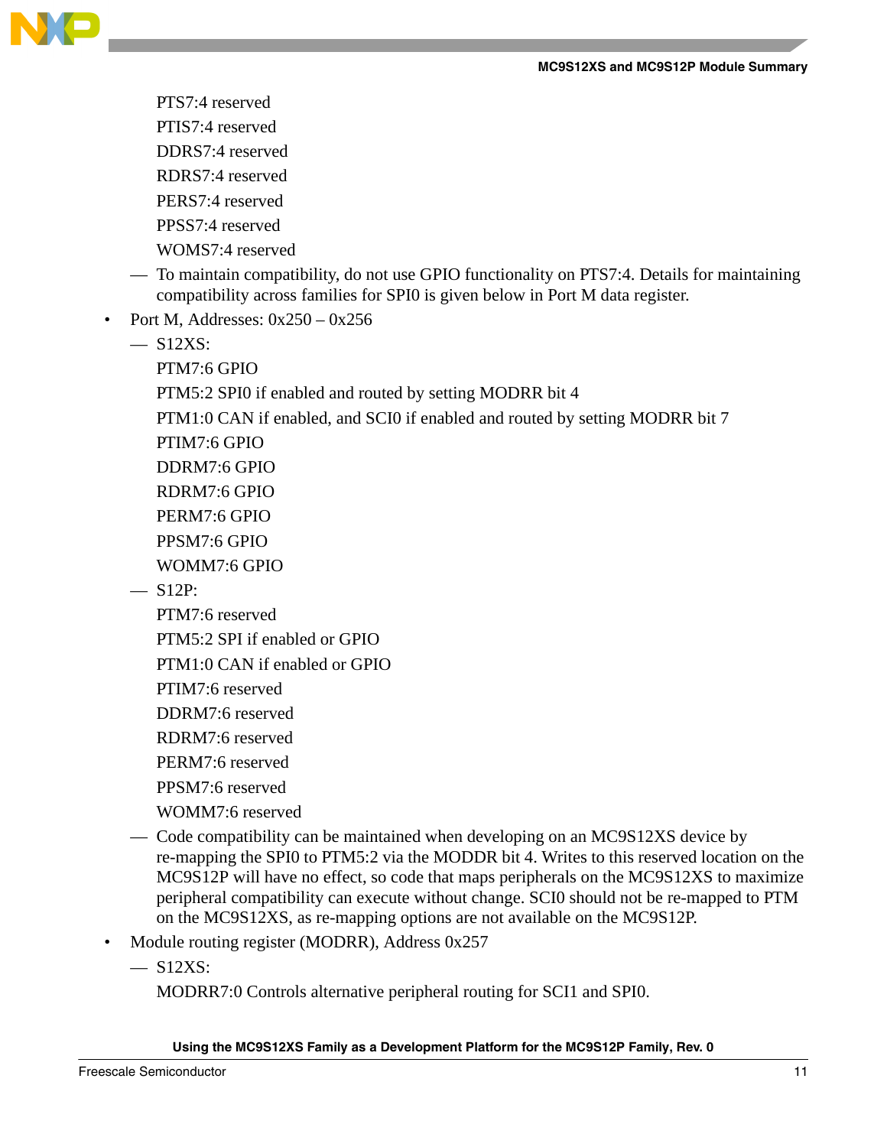

PTS7:4 reserved PTIS7:4 reserved DDRS7:4 reserved RDRS7:4 reserved

PERS7:4 reserved

PPSS7:4 reserved

WOMS7:4 reserved

- To maintain compatibility, do not use GPIO functionality on PTS7:4. Details for maintaining compatibility across families for SPI0 is given below in Port M data register.
- Port M, Addresses: 0x250 0x256
	- $-$  S12XS:

PTM7:6 GPIO

PTM5:2 SPI0 if enabled and routed by setting MODRR bit 4

PTM1:0 CAN if enabled, and SCI0 if enabled and routed by setting MODRR bit 7

PTIM7:6 GPIO

DDRM7:6 GPIO

RDRM7:6 GPIO

PERM7:6 GPIO

PPSM7:6 GPIO

WOMM7:6 GPIO

 $-$  S12P:

PTM7:6 reserved

PTM5:2 SPI if enabled or GPIO

PTM1:0 CAN if enabled or GPIO

PTIM7:6 reserved

DDRM7:6 reserved

RDRM7:6 reserved

PERM7:6 reserved

PPSM7:6 reserved

WOMM7:6 reserved

- Code compatibility can be maintained when developing on an MC9S12XS device by re-mapping the SPI0 to PTM5:2 via the MODDR bit 4. Writes to this reserved location on the MC9S12P will have no effect, so code that maps peripherals on the MC9S12XS to maximize peripheral compatibility can execute without change. SCI0 should not be re-mapped to PTM on the MC9S12XS, as re-mapping options are not available on the MC9S12P.
- Module routing register (MODRR), Address 0x257
	- $-$  S12XS:

MODRR7:0 Controls alternative peripheral routing for SCI1 and SPI0.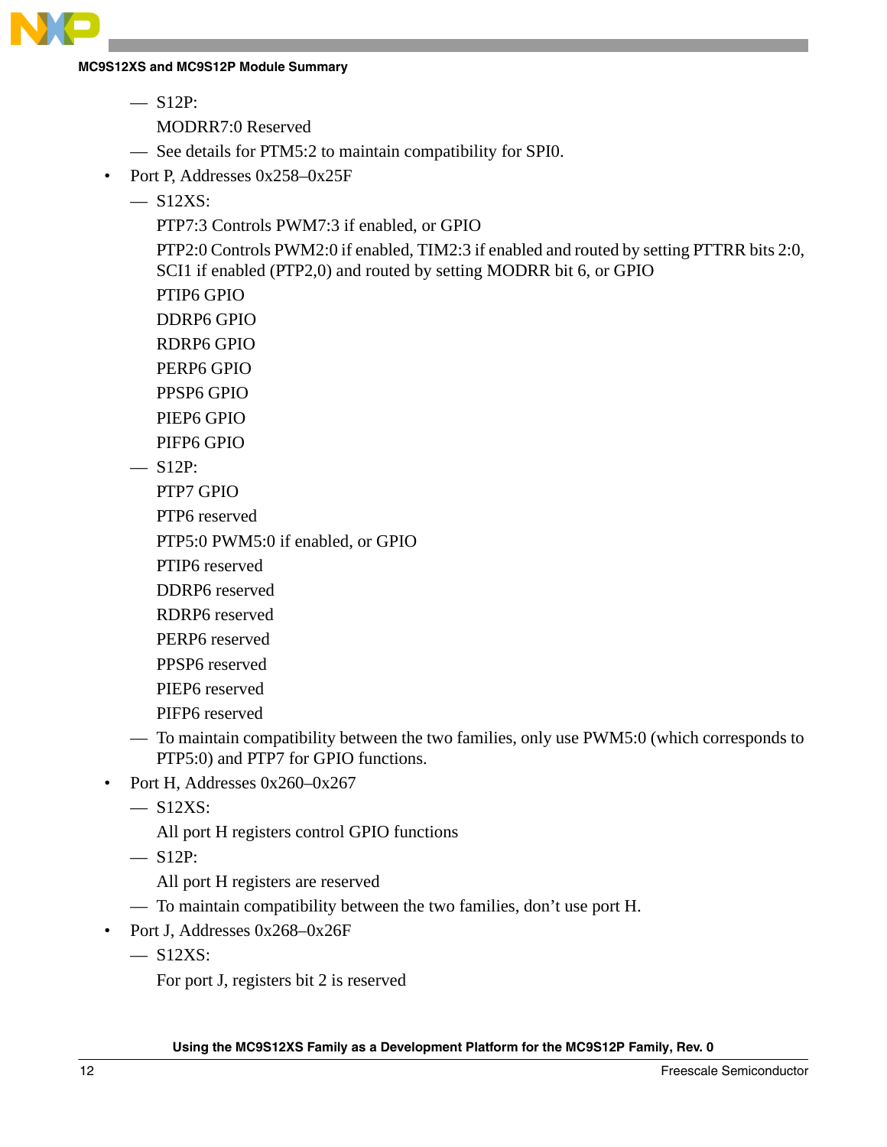

 $-$  S12P:

MODRR7:0 Reserved

- See details for PTM5:2 to maintain compatibility for SPI0.
- Port P, Addresses 0x258–0x25F
	- $-$  S<sub>12</sub>XS:

PTP7:3 Controls PWM7:3 if enabled, or GPIO

PTP2:0 Controls PWM2:0 if enabled, TIM2:3 if enabled and routed by setting PTTRR bits 2:0, SCI1 if enabled (PTP2,0) and routed by setting MODRR bit 6, or GPIO

PTIP6 GPIO

DDRP6 GPIO

RDRP6 GPIO

PERP6 GPIO

PPSP6 GPIO

PIEP6 GPIO

PIFP6 GPIO

 $-$  S12P:

PTP7 GPIO

PTP6 reserved

PTP5:0 PWM5:0 if enabled, or GPIO

PTIP6 reserved

DDRP6 reserved

RDRP6 reserved

PERP6 reserved

PPSP6 reserved

PIEP6 reserved

PIFP6 reserved

- To maintain compatibility between the two families, only use PWM5:0 (which corresponds to PTP5:0) and PTP7 for GPIO functions.
- Port H, Addresses 0x260–0x267

 $-$  S12XS:

All port H registers control GPIO functions

 $-$  S12P:

All port H registers are reserved

— To maintain compatibility between the two families, don't use port H.

• Port J, Addresses 0x268-0x26F

 $-$  S12XS:

For port J, registers bit 2 is reserved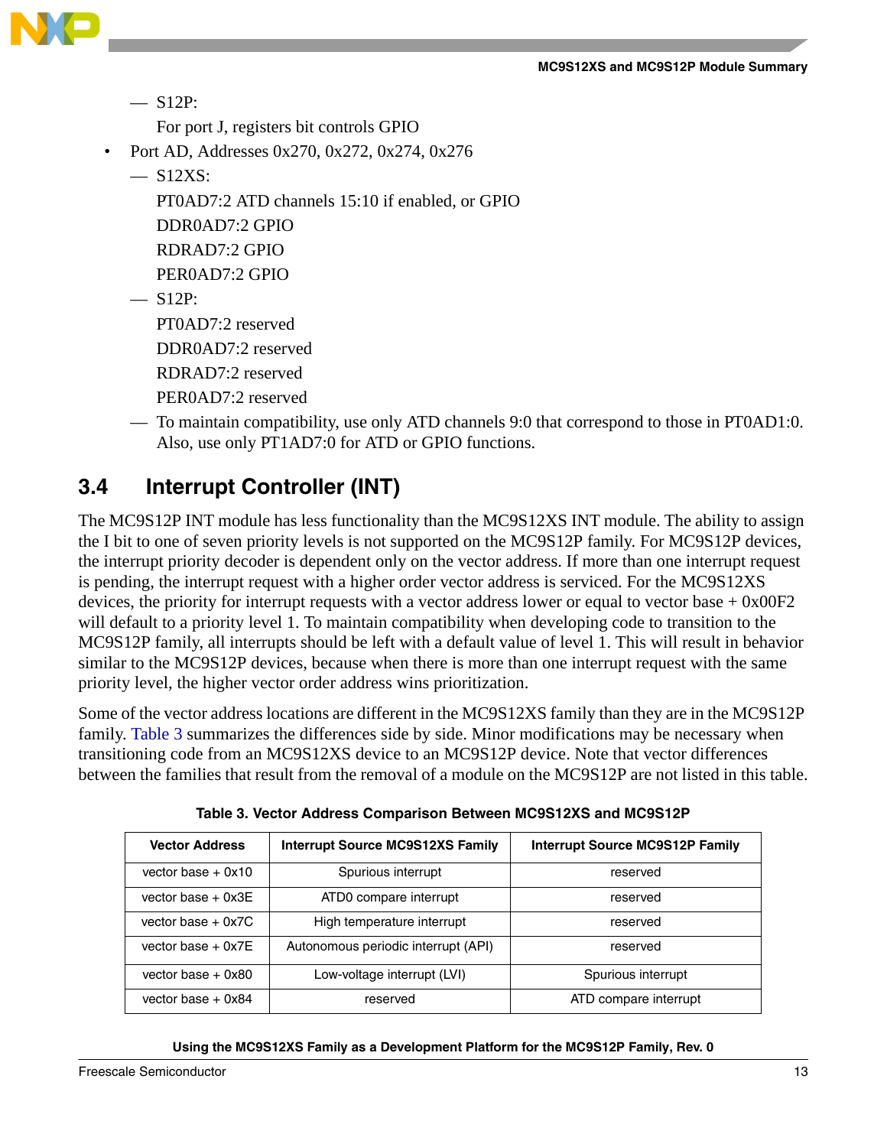

 $-$  S12P:

For port J, registers bit controls GPIO

- Port AD, Addresses 0x270, 0x272, 0x274, 0x276
	- $-$  S12XS:
		- PT0AD7:2 ATD channels 15:10 if enabled, or GPIO

DDR0AD7:2 GPIO

RDRAD7:2 GPIO

PER0AD7:2 GPIO

 $-$  S12P:

PT0AD7:2 reserved

DDR0AD7:2 reserved

RDRAD7:2 reserved

PER0AD7:2 reserved

— To maintain compatibility, use only ATD channels 9:0 that correspond to those in PT0AD1:0. Also, use only PT1AD7:0 for ATD or GPIO functions.

### <span id="page-12-0"></span>**3.4 Interrupt Controller (INT)**

The MC9S12P INT module has less functionality than the MC9S12XS INT module. The ability to assign the I bit to one of seven priority levels is not supported on the MC9S12P family. For MC9S12P devices, the interrupt priority decoder is dependent only on the vector address. If more than one interrupt request is pending, the interrupt request with a higher order vector address is serviced. For the MC9S12XS devices, the priority for interrupt requests with a vector address lower or equal to vector base  $+$  0x00F2 will default to a priority level 1. To maintain compatibility when developing code to transition to the MC9S12P family, all interrupts should be left with a default value of level 1. This will result in behavior similar to the MC9S12P devices, because when there is more than one interrupt request with the same priority level, the higher vector order address wins prioritization.

Some of the vector address locations are different in the MC9S12XS family than they are in the MC9S12P family. [Table 3](#page-12-1) summarizes the differences side by side. Minor modifications may be necessary when transitioning code from an MC9S12XS device to an MC9S12P device. Note that vector differences between the families that result from the removal of a module on the MC9S12P are not listed in this table.

<span id="page-12-1"></span>

| <b>Vector Address</b> | <b>Interrupt Source MC9S12XS Family</b> | <b>Interrupt Source MC9S12P Family</b> |
|-----------------------|-----------------------------------------|----------------------------------------|
| vector base $+$ 0x10  | Spurious interrupt                      | reserved                               |
| vector base $+$ 0x3E  | ATD0 compare interrupt                  | reserved                               |
| vector base $+$ 0x7C  | High temperature interrupt              | reserved                               |
| vector base $+$ 0x7E  | Autonomous periodic interrupt (API)     | reserved                               |
| vector base $+$ 0x80  | Low-voltage interrupt (LVI)             | Spurious interrupt                     |
| vector base $+$ 0x84  | reserved                                | ATD compare interrupt                  |

**Table 3. Vector Address Comparison Between MC9S12XS and MC9S12P**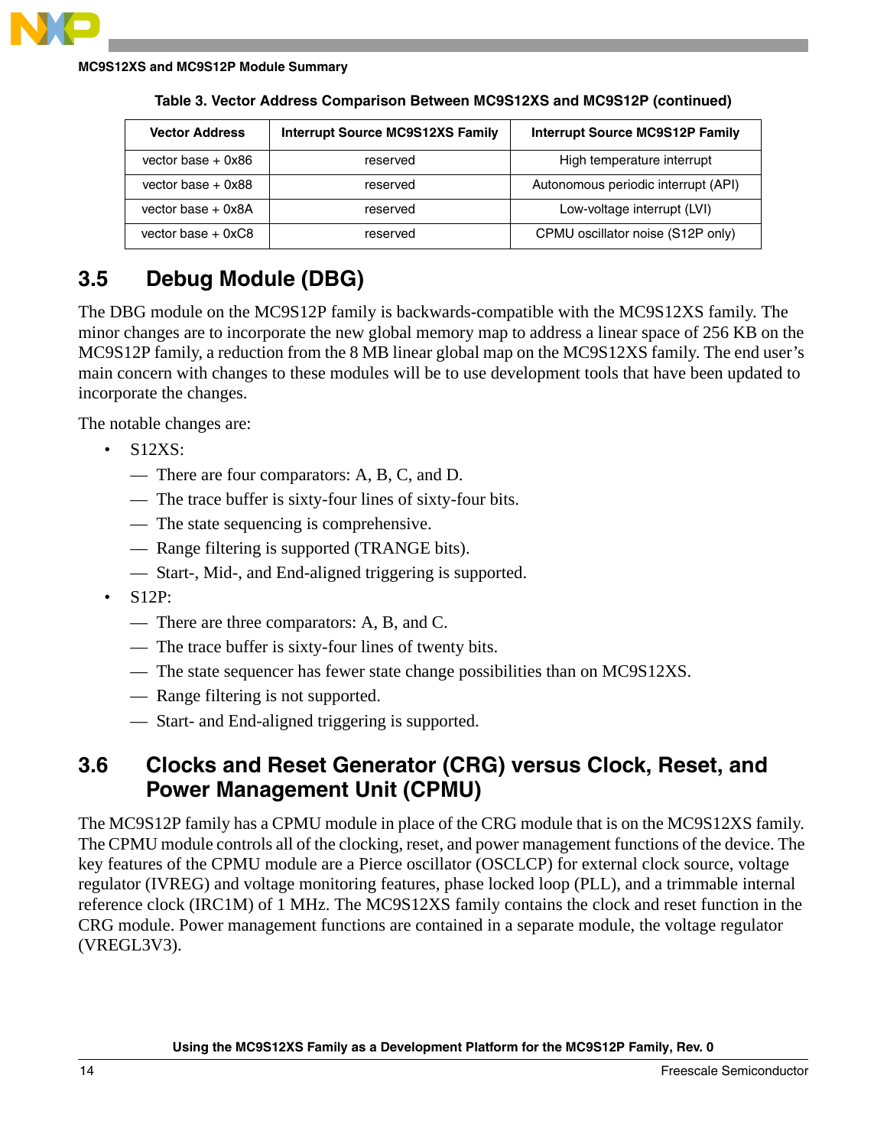

| <b>Vector Address</b> | <b>Interrupt Source MC9S12XS Family</b> | <b>Interrupt Source MC9S12P Family</b> |
|-----------------------|-----------------------------------------|----------------------------------------|
| vector base $+$ 0x86  | reserved                                | High temperature interrupt             |
| vector base $+$ 0x88  | reserved                                | Autonomous periodic interrupt (API)    |
| vector base $+$ 0x8A  | reserved                                | Low-voltage interrupt (LVI)            |
| vector base $+$ 0xC8  | reserved                                | CPMU oscillator noise (S12P only)      |

**Table 3. Vector Address Comparison Between MC9S12XS and MC9S12P (continued)**

### <span id="page-13-0"></span>**3.5 Debug Module (DBG)**

The DBG module on the MC9S12P family is backwards-compatible with the MC9S12XS family. The minor changes are to incorporate the new global memory map to address a linear space of 256 KB on the MC9S12P family, a reduction from the 8 MB linear global map on the MC9S12XS family. The end user's main concern with changes to these modules will be to use development tools that have been updated to incorporate the changes.

The notable changes are:

- S12XS:
	- There are four comparators: A, B, C, and D.
	- The trace buffer is sixty-four lines of sixty-four bits.
	- The state sequencing is comprehensive.
	- Range filtering is supported (TRANGE bits).
	- Start-, Mid-, and End-aligned triggering is supported.
- S12P:
	- There are three comparators: A, B, and C.
	- The trace buffer is sixty-four lines of twenty bits.
	- The state sequencer has fewer state change possibilities than on MC9S12XS.
	- Range filtering is not supported.
	- Start- and End-aligned triggering is supported.

### <span id="page-13-1"></span>**3.6 Clocks and Reset Generator (CRG) versus Clock, Reset, and Power Management Unit (CPMU)**

The MC9S12P family has a CPMU module in place of the CRG module that is on the MC9S12XS family. The CPMU module controls all of the clocking, reset, and power management functions of the device. The key features of the CPMU module are a Pierce oscillator (OSCLCP) for external clock source, voltage regulator (IVREG) and voltage monitoring features, phase locked loop (PLL), and a trimmable internal reference clock (IRC1M) of 1 MHz. The MC9S12XS family contains the clock and reset function in the CRG module. Power management functions are contained in a separate module, the voltage regulator (VREGL3V3).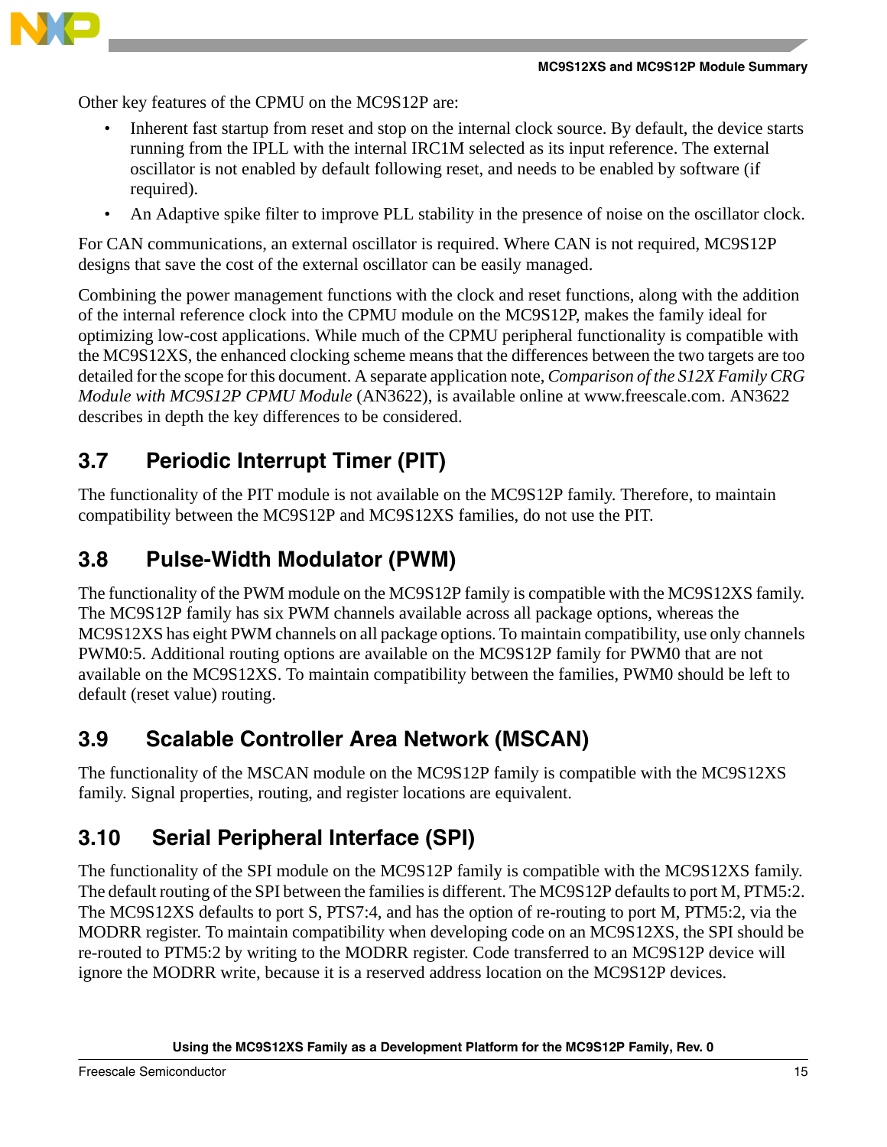

Other key features of the CPMU on the MC9S12P are:

- Inherent fast startup from reset and stop on the internal clock source. By default, the device starts running from the IPLL with the internal IRC1M selected as its input reference. The external oscillator is not enabled by default following reset, and needs to be enabled by software (if required).
- An Adaptive spike filter to improve PLL stability in the presence of noise on the oscillator clock.

For CAN communications, an external oscillator is required. Where CAN is not required, MC9S12P designs that save the cost of the external oscillator can be easily managed.

Combining the power management functions with the clock and reset functions, along with the addition of the internal reference clock into the CPMU module on the MC9S12P, makes the family ideal for optimizing low-cost applications. While much of the CPMU peripheral functionality is compatible with the MC9S12XS, the enhanced clocking scheme means that the differences between the two targets are too detailed for the scope for this document. A separate application note, *Comparison of the S12X Family CRG Module with MC9S12P CPMU Module* (AN3622), is available online at www.freescale.com. AN3622 describes in depth the key differences to be considered.

### <span id="page-14-0"></span>**3.7 Periodic Interrupt Timer (PIT)**

The functionality of the PIT module is not available on the MC9S12P family. Therefore, to maintain compatibility between the MC9S12P and MC9S12XS families, do not use the PIT.

### <span id="page-14-1"></span>**3.8 Pulse-Width Modulator (PWM)**

The functionality of the PWM module on the MC9S12P family is compatible with the MC9S12XS family. The MC9S12P family has six PWM channels available across all package options, whereas the MC9S12XS has eight PWM channels on all package options. To maintain compatibility, use only channels PWM0:5. Additional routing options are available on the MC9S12P family for PWM0 that are not available on the MC9S12XS. To maintain compatibility between the families, PWM0 should be left to default (reset value) routing.

### <span id="page-14-2"></span>**3.9 Scalable Controller Area Network (MSCAN)**

The functionality of the MSCAN module on the MC9S12P family is compatible with the MC9S12XS family. Signal properties, routing, and register locations are equivalent.

### <span id="page-14-3"></span>**3.10 Serial Peripheral Interface (SPI)**

The functionality of the SPI module on the MC9S12P family is compatible with the MC9S12XS family. The default routing of the SPI between the families is different. The MC9S12P defaults to port M, PTM5:2. The MC9S12XS defaults to port S, PTS7:4, and has the option of re-routing to port M, PTM5:2, via the MODRR register. To maintain compatibility when developing code on an MC9S12XS, the SPI should be re-routed to PTM5:2 by writing to the MODRR register. Code transferred to an MC9S12P device will ignore the MODRR write, because it is a reserved address location on the MC9S12P devices.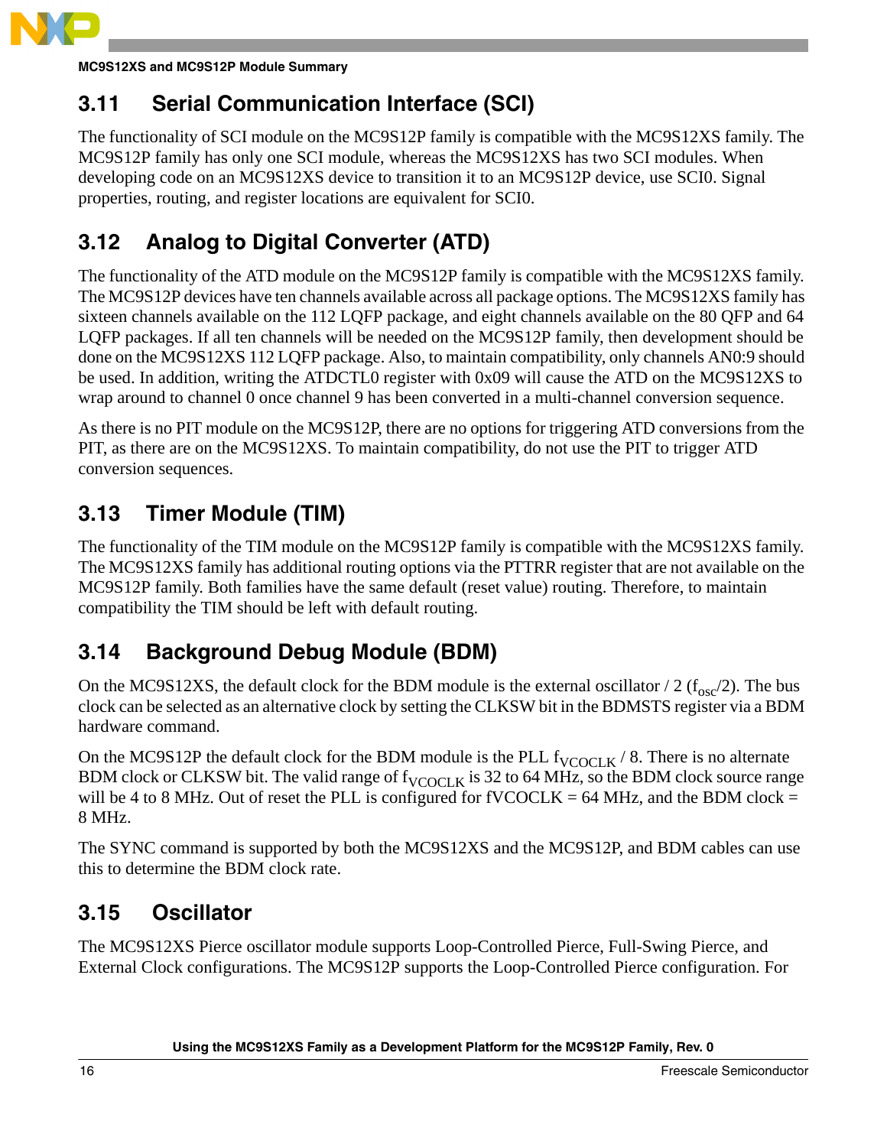

### <span id="page-15-0"></span>**3.11 Serial Communication Interface (SCI)**

The functionality of SCI module on the MC9S12P family is compatible with the MC9S12XS family. The MC9S12P family has only one SCI module, whereas the MC9S12XS has two SCI modules. When developing code on an MC9S12XS device to transition it to an MC9S12P device, use SCI0. Signal properties, routing, and register locations are equivalent for SCI0.

# <span id="page-15-1"></span>**3.12 Analog to Digital Converter (ATD)**

The functionality of the ATD module on the MC9S12P family is compatible with the MC9S12XS family. The MC9S12P devices have ten channels available across all package options. The MC9S12XS family has sixteen channels available on the 112 LQFP package, and eight channels available on the 80 QFP and 64 LQFP packages. If all ten channels will be needed on the MC9S12P family, then development should be done on the MC9S12XS 112 LQFP package. Also, to maintain compatibility, only channels AN0:9 should be used. In addition, writing the ATDCTL0 register with 0x09 will cause the ATD on the MC9S12XS to wrap around to channel 0 once channel 9 has been converted in a multi-channel conversion sequence.

As there is no PIT module on the MC9S12P, there are no options for triggering ATD conversions from the PIT, as there are on the MC9S12XS. To maintain compatibility, do not use the PIT to trigger ATD conversion sequences.

### <span id="page-15-2"></span>**3.13 Timer Module (TIM)**

The functionality of the TIM module on the MC9S12P family is compatible with the MC9S12XS family. The MC9S12XS family has additional routing options via the PTTRR register that are not available on the MC9S12P family. Both families have the same default (reset value) routing. Therefore, to maintain compatibility the TIM should be left with default routing.

### <span id="page-15-3"></span>**3.14 Background Debug Module (BDM)**

On the MC9S12XS, the default clock for the BDM module is the external oscillator / 2 ( $f_{\rm osc}/2$ ). The bus clock can be selected as an alternative clock by setting the CLKSW bit in the BDMSTS register via a BDM hardware command.

On the MC9S12P the default clock for the BDM module is the PLL  $f_{VCOCLK}$  / 8. There is no alternate BDM clock or CLKSW bit. The valid range of  $f_{VCOCLK}$  is 32 to 64 MHz, so the BDM clock source range will be 4 to 8 MHz. Out of reset the PLL is configured for  $fVCOCLK = 64 MHz$ , and the BDM clock = 8 MHz.

The SYNC command is supported by both the MC9S12XS and the MC9S12P, and BDM cables can use this to determine the BDM clock rate.

### <span id="page-15-4"></span>**3.15 Oscillator**

The MC9S12XS Pierce oscillator module supports Loop-Controlled Pierce, Full-Swing Pierce, and External Clock configurations. The MC9S12P supports the Loop-Controlled Pierce configuration. For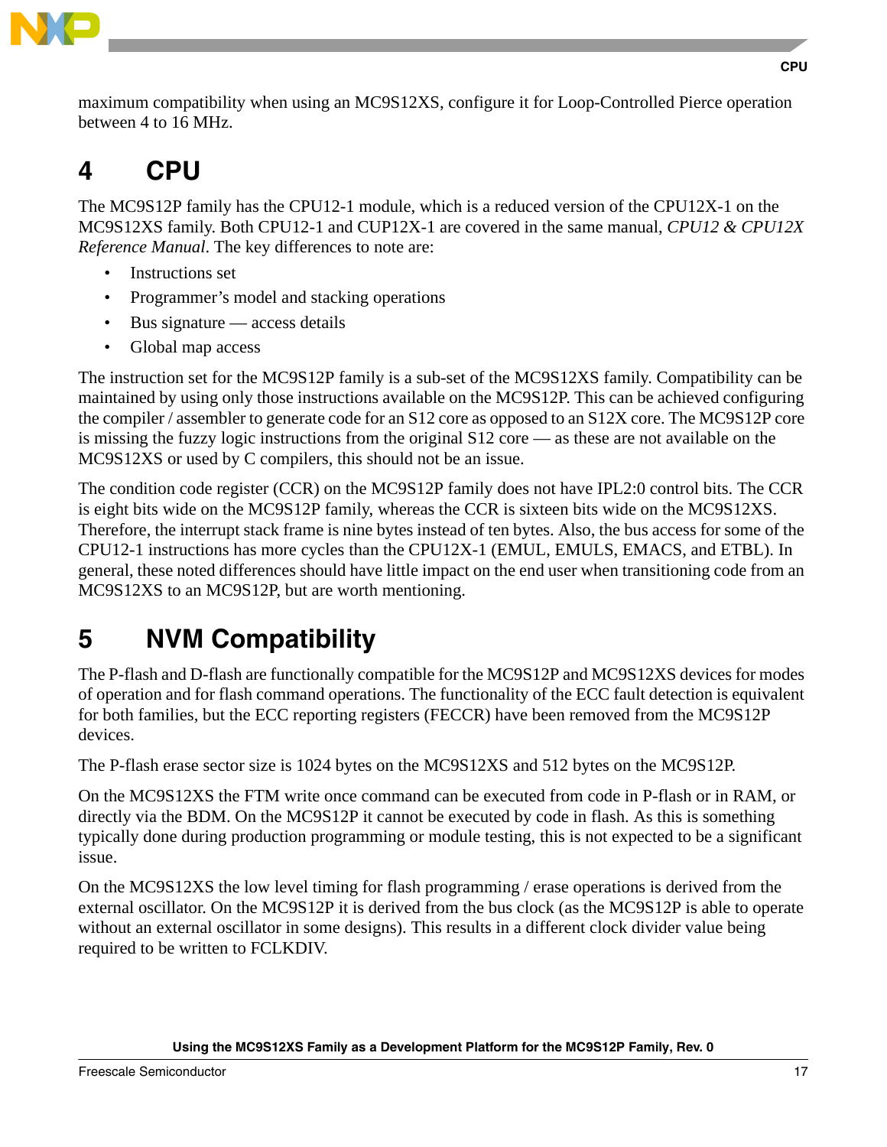

maximum compatibility when using an MC9S12XS, configure it for Loop-Controlled Pierce operation between 4 to 16 MHz.

# <span id="page-16-0"></span>**4 CPU**

The MC9S12P family has the CPU12-1 module, which is a reduced version of the CPU12X-1 on the MC9S12XS family. Both CPU12-1 and CUP12X-1 are covered in the same manual, *CPU12 & CPU12X Reference Manual*. The key differences to note are:

- Instructions set
- Programmer's model and stacking operations
- Bus signature  $\sim$  access details
- Global map access

The instruction set for the MC9S12P family is a sub-set of the MC9S12XS family. Compatibility can be maintained by using only those instructions available on the MC9S12P. This can be achieved configuring the compiler / assembler to generate code for an S12 core as opposed to an S12X core. The MC9S12P core is missing the fuzzy logic instructions from the original S12 core — as these are not available on the MC9S12XS or used by C compilers, this should not be an issue.

The condition code register (CCR) on the MC9S12P family does not have IPL2:0 control bits. The CCR is eight bits wide on the MC9S12P family, whereas the CCR is sixteen bits wide on the MC9S12XS. Therefore, the interrupt stack frame is nine bytes instead of ten bytes. Also, the bus access for some of the CPU12-1 instructions has more cycles than the CPU12X-1 (EMUL, EMULS, EMACS, and ETBL). In general, these noted differences should have little impact on the end user when transitioning code from an MC9S12XS to an MC9S12P, but are worth mentioning.

# <span id="page-16-1"></span>**5 NVM Compatibility**

The P-flash and D-flash are functionally compatible for the MC9S12P and MC9S12XS devices for modes of operation and for flash command operations. The functionality of the ECC fault detection is equivalent for both families, but the ECC reporting registers (FECCR) have been removed from the MC9S12P devices.

The P-flash erase sector size is 1024 bytes on the MC9S12XS and 512 bytes on the MC9S12P.

On the MC9S12XS the FTM write once command can be executed from code in P-flash or in RAM, or directly via the BDM. On the MC9S12P it cannot be executed by code in flash. As this is something typically done during production programming or module testing, this is not expected to be a significant issue.

On the MC9S12XS the low level timing for flash programming / erase operations is derived from the external oscillator. On the MC9S12P it is derived from the bus clock (as the MC9S12P is able to operate without an external oscillator in some designs). This results in a different clock divider value being required to be written to FCLKDIV.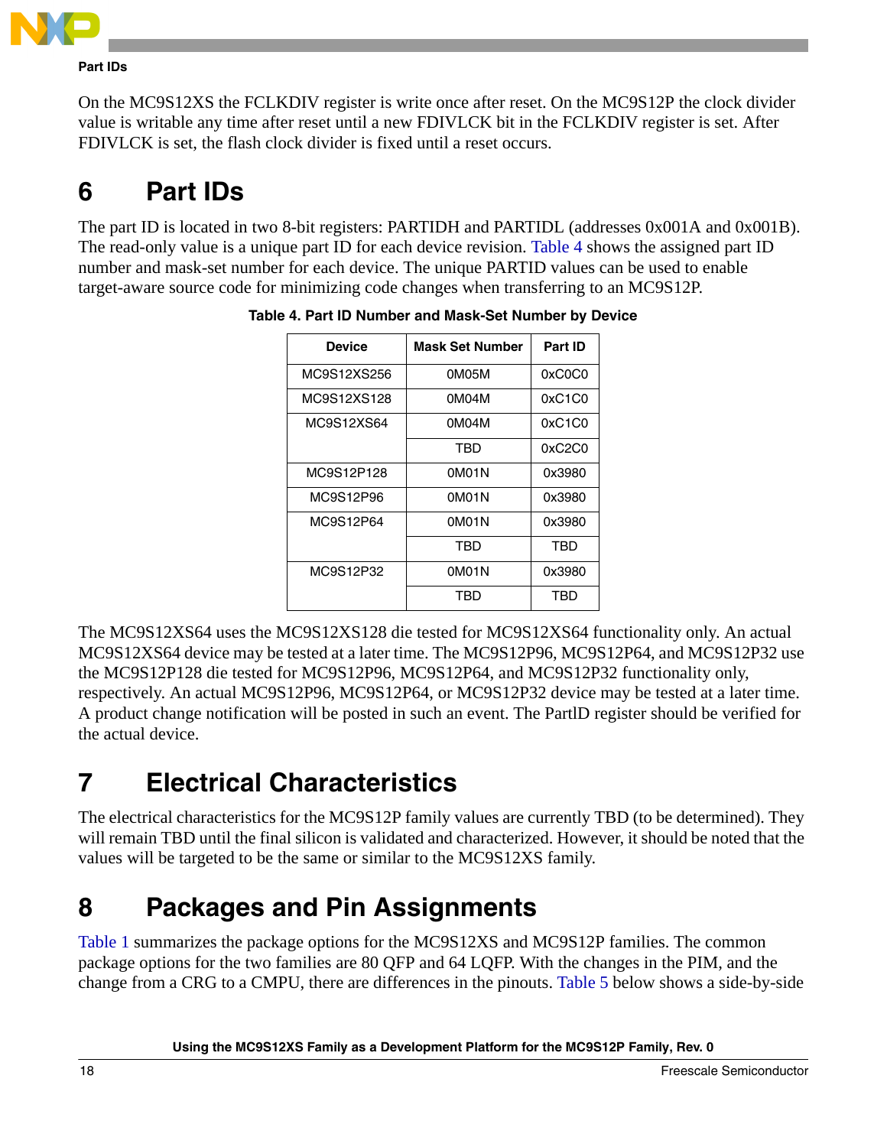

#### **Part IDs**

On the MC9S12XS the FCLKDIV register is write once after reset. On the MC9S12P the clock divider value is writable any time after reset until a new FDIVLCK bit in the FCLKDIV register is set. After FDIVLCK is set, the flash clock divider is fixed until a reset occurs.

# <span id="page-17-0"></span>**6 Part IDs**

<span id="page-17-3"></span>The part ID is located in two 8-bit registers: PARTIDH and PARTIDL (addresses 0x001A and 0x001B). The read-only value is a unique part ID for each device revision. [Table 4](#page-17-3) shows the assigned part ID number and mask-set number for each device. The unique PARTID values can be used to enable target-aware source code for minimizing code changes when transferring to an MC9S12P.

| <b>Device</b> | <b>Mask Set Number</b> | Part ID |
|---------------|------------------------|---------|
| MC9S12XS256   | 0M05M                  | 0xC0C0  |
| MC9S12XS128   | 0M04M                  | 0xC1C0  |
| MC9S12XS64    | 0M04M                  | 0xC1C0  |
|               | TBD                    | 0xC2C0  |
| MC9S12P128    | 0M01N                  | 0x3980  |
| MC9S12P96     | 0M01N                  | 0x3980  |
| MC9S12P64     | 0M01N                  | 0x3980  |
|               | TBD                    | TBD     |
| MC9S12P32     | 0M01N                  | 0x3980  |
|               | TBD                    | TBD     |

| Table 4. Part ID Number and Mask-Set Number by Device |  |  |
|-------------------------------------------------------|--|--|
|                                                       |  |  |

The MC9S12XS64 uses the MC9S12XS128 die tested for MC9S12XS64 functionality only. An actual MC9S12XS64 device may be tested at a later time. The MC9S12P96, MC9S12P64, and MC9S12P32 use the MC9S12P128 die tested for MC9S12P96, MC9S12P64, and MC9S12P32 functionality only, respectively. An actual MC9S12P96, MC9S12P64, or MC9S12P32 device may be tested at a later time. A product change notification will be posted in such an event. The PartlD register should be verified for the actual device.

# <span id="page-17-1"></span>**7 Electrical Characteristics**

The electrical characteristics for the MC9S12P family values are currently TBD (to be determined). They will remain TBD until the final silicon is validated and characterized. However, it should be noted that the values will be targeted to be the same or similar to the MC9S12XS family.

# <span id="page-17-2"></span>**8 Packages and Pin Assignments**

[Table 1](#page-2-2) summarizes the package options for the MC9S12XS and MC9S12P families. The common package options for the two families are 80 QFP and 64 LQFP. With the changes in the PIM, and the change from a CRG to a CMPU, there are differences in the pinouts. [Table 5](#page-18-0) below shows a side-by-side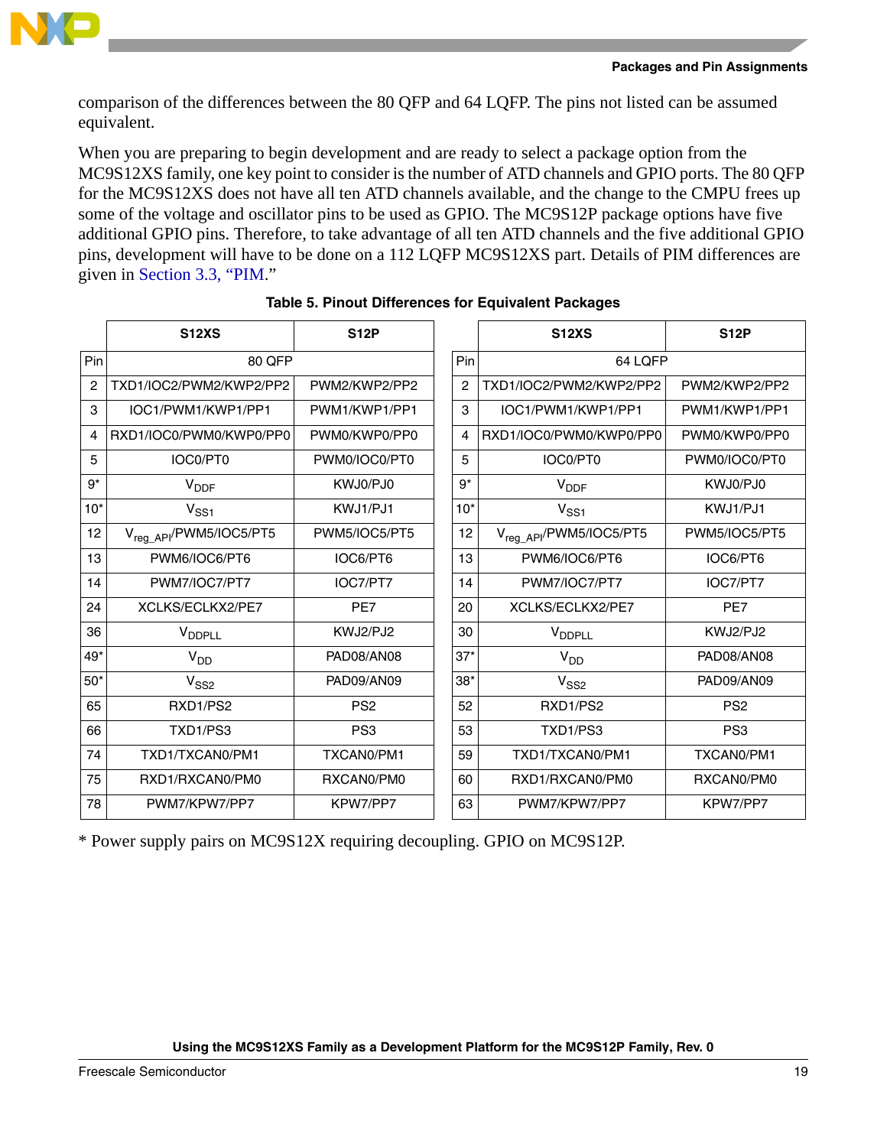

comparison of the differences between the 80 QFP and 64 LQFP. The pins not listed can be assumed equivalent.

When you are preparing to begin development and are ready to select a package option from the MC9S12XS family, one key point to consider is the number of ATD channels and GPIO ports. The 80 QFP for the MC9S12XS does not have all ten ATD channels available, and the change to the CMPU frees up some of the voltage and oscillator pins to be used as GPIO. The MC9S12P package options have five additional GPIO pins. Therefore, to take advantage of all ten ATD channels and the five additional GPIO pins, development will have to be done on a 112 LQFP MC9S12XS part. Details of PIM differences are given in [Section 3.3, "PIM.](#page-9-0)"

<span id="page-18-0"></span>

|                | <b>S12XS</b>                        | <b>S12P</b>     |       | <b>S12XS</b>                        | <b>S12P</b>     |
|----------------|-------------------------------------|-----------------|-------|-------------------------------------|-----------------|
| Pin            | 80 QFP                              |                 | Pin   | 64 LOFP                             |                 |
| $\overline{c}$ | TXD1/IOC2/PWM2/KWP2/PP2             | PWM2/KWP2/PP2   | 2     | TXD1/IOC2/PWM2/KWP2/PP2             | PWM2/KWP2/PP2   |
| 3              | IOC1/PWM1/KWP1/PP1                  | PWM1/KWP1/PP1   | 3     | IOC1/PWM1/KWP1/PP1                  | PWM1/KWP1/PP1   |
| 4              | RXD1/IOC0/PWM0/KWP0/PP0             | PWM0/KWP0/PP0   | 4     | RXD1/IOC0/PWM0/KWP0/PP0             | PWM0/KWP0/PP0   |
| 5              | IOC0/PT0                            | PWM0/IOC0/PT0   | 5     | IOC0/PT0                            | PWM0/IOC0/PT0   |
| $9*$           | $V_{\text{DDF}}$                    | KWJ0/PJ0        | $9*$  | $V_{\text{DDF}}$                    | KWJ0/PJ0        |
| $10*$          | $V_{SS1}$                           | KWJ1/PJ1        | $10*$ | $V_{SS1}$                           | KWJ1/PJ1        |
| 12             | V <sub>req API</sub> /PWM5/IOC5/PT5 | PWM5/IOC5/PT5   | 12    | V <sub>reg_API</sub> /PWM5/IOC5/PT5 | PWM5/IOC5/PT5   |
| 13             | PWM6/IOC6/PT6                       | IOC6/PT6        | 13    | PWM6/IOC6/PT6                       | IOC6/PT6        |
| 14             | PWM7/IOC7/PT7                       | IOC7/PT7        | 14    | PWM7/IOC7/PT7                       | IOC7/PT7        |
| 24             | XCLKS/ECLKX2/PE7                    | PE7             | 20    | XCLKS/ECLKX2/PE7                    | PE7             |
| 36             | <b>VDDPLL</b>                       | KWJ2/PJ2        | 30    | V <sub>DDPLL</sub>                  | KWJ2/PJ2        |
| $49*$          | $V_{DD}$                            | PAD08/AN08      | $37*$ | $V_{DD}$                            | PAD08/AN08      |
| $50*$          | V <sub>SS2</sub>                    | PAD09/AN09      | $38*$ | V <sub>SS2</sub>                    | PAD09/AN09      |
| 65             | RXD1/PS2                            | PS <sub>2</sub> | 52    | RXD1/PS2                            | PS <sub>2</sub> |
| 66             | TXD1/PS3                            | PS <sub>3</sub> | 53    | TXD1/PS3                            | PS <sub>3</sub> |
| 74             | TXD1/TXCAN0/PM1                     | TXCAN0/PM1      | 59    | TXD1/TXCAN0/PM1                     | TXCAN0/PM1      |
| 75             | RXD1/RXCAN0/PM0                     | RXCAN0/PM0      | 60    | RXD1/RXCAN0/PM0                     | RXCAN0/PM0      |
| 78             | PWM7/KPW7/PP7                       | KPW7/PP7        | 63    | PWM7/KPW7/PP7                       | KPW7/PP7        |

\* Power supply pairs on MC9S12X requiring decoupling. GPIO on MC9S12P.